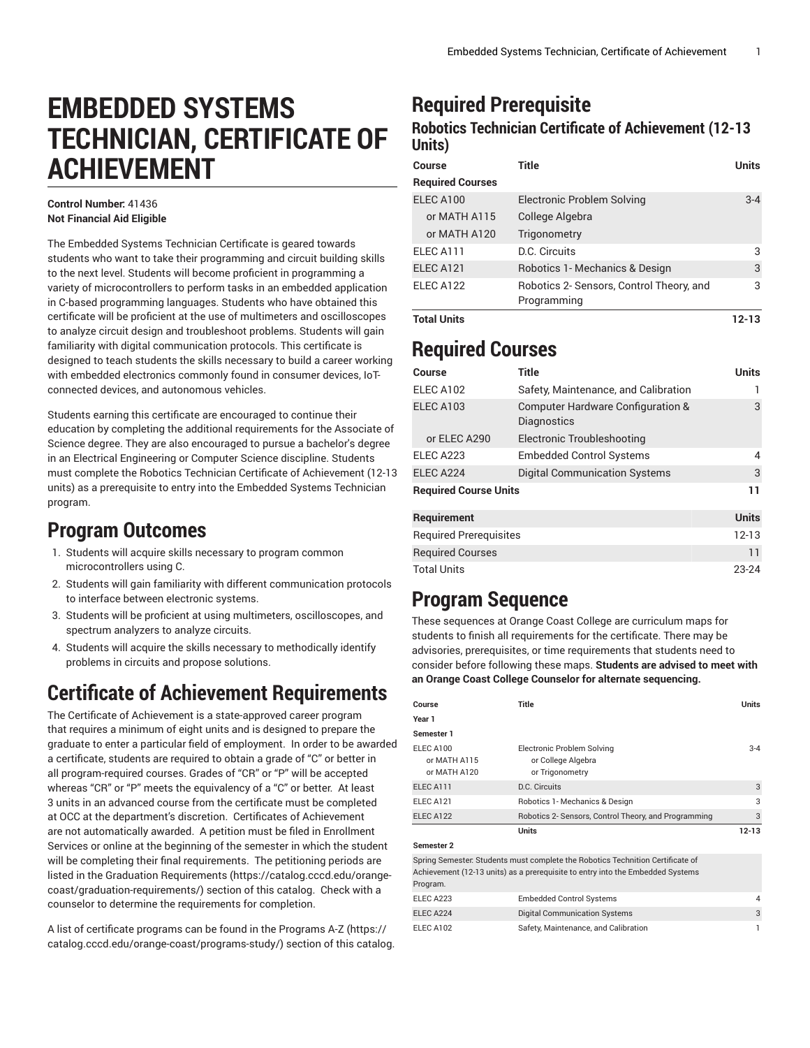# **EMBEDDED SYSTEMS TECHNICIAN, CERTIFICATE OF ACHIEVEMENT**

#### **Control Number:** 41436 **Not Financial Aid Eligible**

The Embedded Systems Technician Certificate is geared towards students who want to take their programming and circuit building skills to the next level. Students will become proficient in programming a variety of microcontrollers to perform tasks in an embedded application in C-based programming languages. Students who have obtained this certificate will be proficient at the use of multimeters and oscilloscopes to analyze circuit design and troubleshoot problems. Students will gain familiarity with digital communication protocols. This certificate is designed to teach students the skills necessary to build a career working with embedded electronics commonly found in consumer devices, IoTconnected devices, and autonomous vehicles.

Students earning this certificate are encouraged to continue their education by completing the additional requirements for the Associate of Science degree. They are also encouraged to pursue a bachelor's degree in an Electrical Engineering or Computer Science discipline. Students must complete the Robotics Technician Certificate of Achievement (12-13 units) as a prerequisite to entry into the Embedded Systems Technician program.

#### **Program Outcomes**

- 1. Students will acquire skills necessary to program common microcontrollers using C.
- 2. Students will gain familiarity with different communication protocols to interface between electronic systems.
- 3. Students will be proficient at using multimeters, oscilloscopes, and spectrum analyzers to analyze circuits.
- 4. Students will acquire the skills necessary to methodically identify problems in circuits and propose solutions.

## **Certificate of Achievement Requirements**

The Certificate of Achievement is a state-approved career program that requires a minimum of eight units and is designed to prepare the graduate to enter a particular field of employment. In order to be awarded a certificate, students are required to obtain a grade of "C" or better in all program-required courses. Grades of "CR" or "P" will be accepted whereas "CR" or "P" meets the equivalency of a "C" or better. At least 3 units in an advanced course from the certificate must be completed at OCC at the department's discretion. Certificates of Achievement are not automatically awarded. A petition must be filed in Enrollment Services or online at the beginning of the semester in which the student will be completing their final requirements. The petitioning periods are listed in the Graduation [Requirements \(https://catalog.cccd.edu/orange](https://catalog.cccd.edu/orange-coast/graduation-requirements/)[coast/graduation-requirements/\)](https://catalog.cccd.edu/orange-coast/graduation-requirements/) section of this catalog. Check with a counselor to determine the requirements for completion.

A list of certificate programs can be found in the [Programs](https://catalog.cccd.edu/orange-coast/programs-study/) A-Z ([https://](https://catalog.cccd.edu/orange-coast/programs-study/) [catalog.cccd.edu/orange-coast/programs-study/\)](https://catalog.cccd.edu/orange-coast/programs-study/) section of this catalog.

## **Required Prerequisite**

#### **Robotics Technician Certificate of Achievement (12-13 Units)**

| Course<br><b>Required Courses</b> | Title                                    | <b>Units</b> |
|-----------------------------------|------------------------------------------|--------------|
| ELEC A100                         | Electronic Problem Solving               | $3 - 4$      |
| or MATH A115                      | College Algebra                          |              |
| or MATH A120                      | Trigonometry                             |              |
| ELEC A111                         | D.C. Circuits                            | 3            |
| ELEC A121                         | Robotics 1- Mechanics & Design           | 3            |
| ELEC A122                         | Robotics 2- Sensors, Control Theory, and | 3            |
|                                   | Programming                              |              |
| <b>Total Units</b>                |                                          | 12-13        |

#### **Required Courses**

| Course                       | <b>Title</b>                                     | <b>Units</b> |
|------------------------------|--------------------------------------------------|--------------|
| ELEC A102                    | Safety, Maintenance, and Calibration             |              |
| <b>ELEC A103</b>             | Computer Hardware Configuration &<br>Diagnostics | 3            |
| or ELEC A290                 | Electronic Troubleshooting                       |              |
| ELEC A223                    | <b>Embedded Control Systems</b>                  | 4            |
| ELEC A224                    | <b>Digital Communication Systems</b>             | 3            |
| <b>Required Course Units</b> |                                                  | 11           |
| Requirement                  |                                                  |              |

| .                             | $\sim$    |
|-------------------------------|-----------|
| <b>Required Prerequisites</b> | $12 - 13$ |
| <b>Required Courses</b>       |           |
| Total Units                   | $23 - 24$ |

## **Program Sequence**

These sequences at Orange Coast College are curriculum maps for students to finish all requirements for the certificate. There may be advisories, prerequisites, or time requirements that students need to consider before following these maps. **Students are advised to meet with an Orange Coast College Counselor for alternate sequencing.**

| Course                                    | <b>Title</b>                                                                                                                                                     | Units     |
|-------------------------------------------|------------------------------------------------------------------------------------------------------------------------------------------------------------------|-----------|
| Year 1                                    |                                                                                                                                                                  |           |
| Semester 1                                |                                                                                                                                                                  |           |
| ELEC A100<br>or MATH A115<br>or MATH A120 | Electronic Problem Solving<br>or College Algebra<br>or Trigonometry                                                                                              | $3 - 4$   |
| ELEC A111                                 | D.C. Circuits                                                                                                                                                    | 3         |
| <b>ELEC A121</b>                          | Robotics 1- Mechanics & Design                                                                                                                                   | 3         |
| ELEC A122                                 | Robotics 2- Sensors, Control Theory, and Programming                                                                                                             | 3         |
|                                           | <b>Units</b>                                                                                                                                                     | $12 - 13$ |
| Semester 2                                |                                                                                                                                                                  |           |
| Program.                                  | Spring Semester: Students must complete the Robotics Technition Certificate of<br>Achievement (12-13 units) as a prerequisite to entry into the Embedded Systems |           |
| ELEC A223                                 | <b>Embedded Control Systems</b>                                                                                                                                  | 4         |
| ELEC A224                                 | <b>Digital Communication Systems</b>                                                                                                                             | 3         |
| ELEC A102                                 | Safety, Maintenance, and Calibration                                                                                                                             |           |